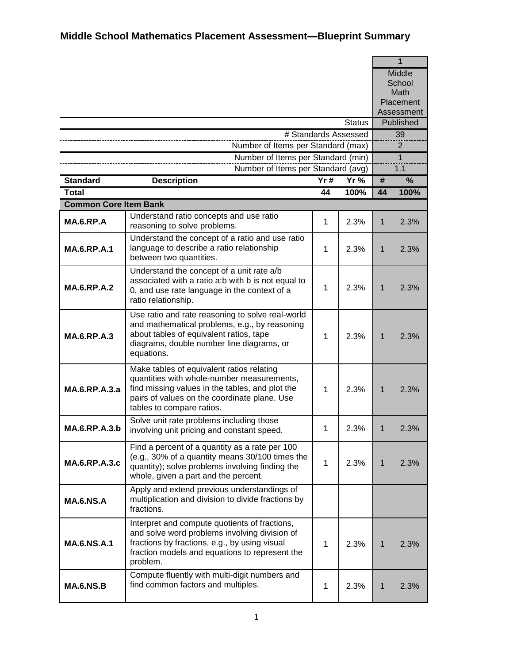|                              |                                                                                                                                                                                                                         |     |                      |                         | $\overline{1}$ |  |
|------------------------------|-------------------------------------------------------------------------------------------------------------------------------------------------------------------------------------------------------------------------|-----|----------------------|-------------------------|----------------|--|
|                              |                                                                                                                                                                                                                         |     |                      |                         | Middle         |  |
|                              |                                                                                                                                                                                                                         |     |                      |                         | School         |  |
|                              |                                                                                                                                                                                                                         |     |                      |                         | Math           |  |
|                              |                                                                                                                                                                                                                         |     |                      |                         | Placement      |  |
|                              |                                                                                                                                                                                                                         |     | <b>Status</b>        | Assessment<br>Published |                |  |
|                              |                                                                                                                                                                                                                         |     | # Standards Assessed |                         | 39             |  |
|                              | Number of Items per Standard (max)                                                                                                                                                                                      |     |                      | 2                       |                |  |
|                              | Number of Items per Standard (min)                                                                                                                                                                                      |     |                      |                         | $\mathbf{1}$   |  |
|                              | Number of Items per Standard (avg)                                                                                                                                                                                      |     |                      | 1.1                     |                |  |
| <b>Standard</b>              | <b>Description</b>                                                                                                                                                                                                      | Yr# | Yr %                 | #                       | %              |  |
| <b>Total</b>                 |                                                                                                                                                                                                                         | 44  | 100%                 | 44                      | 100%           |  |
| <b>Common Core Item Bank</b> |                                                                                                                                                                                                                         |     |                      |                         |                |  |
|                              | Understand ratio concepts and use ratio                                                                                                                                                                                 |     |                      |                         |                |  |
| MA.6.RP.A                    | reasoning to solve problems.                                                                                                                                                                                            | 1   | 2.3%                 | 1                       | 2.3%           |  |
| <b>MA.6.RP.A.1</b>           | Understand the concept of a ratio and use ratio<br>language to describe a ratio relationship<br>between two quantities.                                                                                                 | 1   | 2.3%                 | 1                       | 2.3%           |  |
| <b>MA.6.RP.A.2</b>           | Understand the concept of a unit rate a/b<br>associated with a ratio a:b with b is not equal to<br>0, and use rate language in the context of a<br>ratio relationship.                                                  | 1   | 2.3%                 | 1                       | 2.3%           |  |
| <b>MA.6.RP.A.3</b>           | Use ratio and rate reasoning to solve real-world<br>and mathematical problems, e.g., by reasoning<br>about tables of equivalent ratios, tape<br>diagrams, double number line diagrams, or<br>equations.                 | 1   | 2.3%                 | $\mathbf{1}$            | 2.3%           |  |
| MA.6.RP.A.3.a                | Make tables of equivalent ratios relating<br>quantities with whole-number measurements,<br>find missing values in the tables, and plot the<br>pairs of values on the coordinate plane. Use<br>tables to compare ratios. | 1   | 2.3%                 | 1                       | 2.3%           |  |
| $MA$ 6 RP $A$ 3 b            | Solve unit rate problems including those<br>involving unit pricing and constant speed.                                                                                                                                  | 1   | 2.3%                 | 1                       | 2.3%           |  |
| <b>MA.6.RP.A.3.c</b>         | Find a percent of a quantity as a rate per 100<br>(e.g., 30% of a quantity means 30/100 times the<br>quantity); solve problems involving finding the<br>whole, given a part and the percent.                            | 1   | 2.3%                 | $\mathbf 1$             | 2.3%           |  |
| <b>MA.6.NS.A</b>             | Apply and extend previous understandings of<br>multiplication and division to divide fractions by<br>fractions.                                                                                                         |     |                      |                         |                |  |
| <b>MA.6.NS.A.1</b>           | Interpret and compute quotients of fractions,<br>and solve word problems involving division of<br>fractions by fractions, e.g., by using visual<br>fraction models and equations to represent the<br>problem.           | 1   | 2.3%                 | $\mathbf 1$             | 2.3%           |  |
| <b>MA.6.NS.B</b>             | Compute fluently with multi-digit numbers and<br>find common factors and multiples.                                                                                                                                     | 1   | 2.3%                 | 1                       | 2.3%           |  |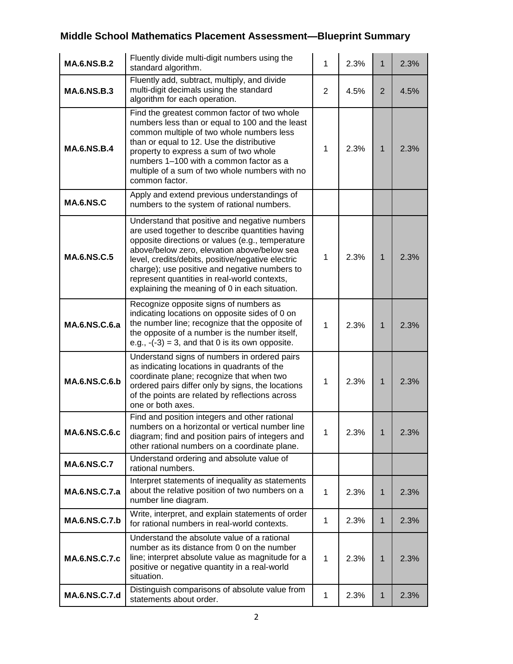| <b>MA.6.NS.B.2</b>   | Fluently divide multi-digit numbers using the<br>standard algorithm.                                                                                                                                                                                                                                                                                                                                        | $\mathbf{1}$   | 2.3% | $\mathbf 1$  | 2.3% |
|----------------------|-------------------------------------------------------------------------------------------------------------------------------------------------------------------------------------------------------------------------------------------------------------------------------------------------------------------------------------------------------------------------------------------------------------|----------------|------|--------------|------|
| <b>MA.6.NS.B.3</b>   | Fluently add, subtract, multiply, and divide<br>multi-digit decimals using the standard<br>algorithm for each operation.                                                                                                                                                                                                                                                                                    | $\overline{2}$ | 4.5% | 2            | 4.5% |
| <b>MA.6.NS.B.4</b>   | Find the greatest common factor of two whole<br>numbers less than or equal to 100 and the least<br>common multiple of two whole numbers less<br>than or equal to 12. Use the distributive<br>property to express a sum of two whole<br>numbers 1-100 with a common factor as a<br>multiple of a sum of two whole numbers with no<br>common factor.                                                          | 1              | 2.3% | $\mathbf{1}$ | 2.3% |
| <b>MA.6.NS.C</b>     | Apply and extend previous understandings of<br>numbers to the system of rational numbers.                                                                                                                                                                                                                                                                                                                   |                |      |              |      |
| <b>MA.6.NS.C.5</b>   | Understand that positive and negative numbers<br>are used together to describe quantities having<br>opposite directions or values (e.g., temperature<br>above/below zero, elevation above/below sea<br>level, credits/debits, positive/negative electric<br>charge); use positive and negative numbers to<br>represent quantities in real-world contexts,<br>explaining the meaning of 0 in each situation. | $\mathbf{1}$   | 2.3% | $\mathbf{1}$ | 2.3% |
| <b>MA.6.NS.C.6.a</b> | Recognize opposite signs of numbers as<br>indicating locations on opposite sides of 0 on<br>the number line; recognize that the opposite of<br>the opposite of a number is the number itself,<br>e.g., $-(-3) = 3$ , and that 0 is its own opposite.                                                                                                                                                        | $\mathbf{1}$   | 2.3% | $\mathbf{1}$ | 2.3% |
| <b>MA.6.NS.C.6.b</b> | Understand signs of numbers in ordered pairs<br>as indicating locations in quadrants of the<br>coordinate plane; recognize that when two<br>ordered pairs differ only by signs, the locations<br>of the points are related by reflections across<br>one or both axes.                                                                                                                                       | 1              | 2.3% | $\mathbf{1}$ | 2.3% |
| <b>MA.6.NS.C.6.c</b> | Find and position integers and other rational<br>numbers on a horizontal or vertical number line<br>diagram; find and position pairs of integers and<br>other rational numbers on a coordinate plane.                                                                                                                                                                                                       | 1              | 2.3% | 1            | 2.3% |
| <b>MA.6.NS.C.7</b>   | Understand ordering and absolute value of<br>rational numbers.                                                                                                                                                                                                                                                                                                                                              |                |      |              |      |
| MA.6.NS.C.7.a        | Interpret statements of inequality as statements<br>about the relative position of two numbers on a<br>number line diagram.                                                                                                                                                                                                                                                                                 | 1              | 2.3% | 1            | 2.3% |
| <b>MA.6.NS.C.7.b</b> | Write, interpret, and explain statements of order<br>for rational numbers in real-world contexts.                                                                                                                                                                                                                                                                                                           | 1              | 2.3% | 1            | 2.3% |
| <b>MA.6.NS.C.7.c</b> | Understand the absolute value of a rational<br>number as its distance from 0 on the number<br>line; interpret absolute value as magnitude for a<br>positive or negative quantity in a real-world<br>situation.                                                                                                                                                                                              | 1              | 2.3% | 1            | 2.3% |
| MA.6.NS.C.7.d        | Distinguish comparisons of absolute value from<br>statements about order.                                                                                                                                                                                                                                                                                                                                   | 1              | 2.3% | 1            | 2.3% |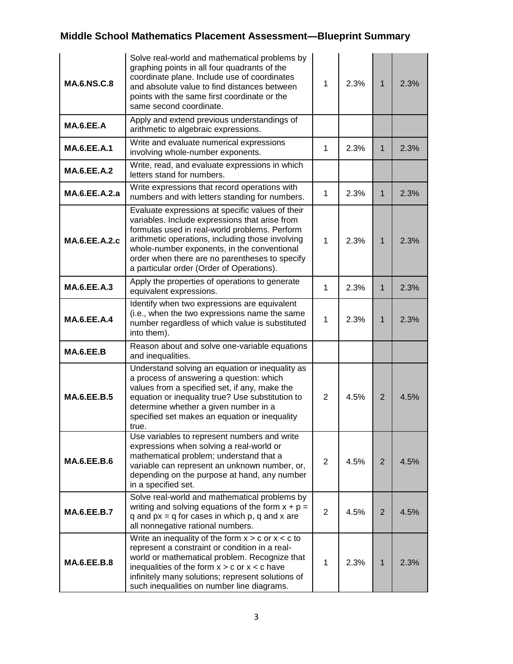| <b>MA.6.NS.C.8</b>   | Solve real-world and mathematical problems by<br>graphing points in all four quadrants of the<br>coordinate plane. Include use of coordinates<br>and absolute value to find distances between<br>points with the same first coordinate or the<br>same second coordinate.                                                                              | 1              | 2.3% | $\mathbf{1}$   | 2.3% |
|----------------------|-------------------------------------------------------------------------------------------------------------------------------------------------------------------------------------------------------------------------------------------------------------------------------------------------------------------------------------------------------|----------------|------|----------------|------|
| MA.6.EE.A            | Apply and extend previous understandings of<br>arithmetic to algebraic expressions.                                                                                                                                                                                                                                                                   |                |      |                |      |
| <b>MA.6.EE.A.1</b>   | Write and evaluate numerical expressions<br>involving whole-number exponents.                                                                                                                                                                                                                                                                         | 1              | 2.3% | $\mathbf 1$    | 2.3% |
| <b>MA.6.EE.A.2</b>   | Write, read, and evaluate expressions in which<br>letters stand for numbers.                                                                                                                                                                                                                                                                          |                |      |                |      |
| MA.6.EE.A.2.a        | Write expressions that record operations with<br>numbers and with letters standing for numbers.                                                                                                                                                                                                                                                       | 1              | 2.3% | 1              | 2.3% |
| <b>MA.6.EE.A.2.c</b> | Evaluate expressions at specific values of their<br>variables. Include expressions that arise from<br>formulas used in real-world problems. Perform<br>arithmetic operations, including those involving<br>whole-number exponents, in the conventional<br>order when there are no parentheses to specify<br>a particular order (Order of Operations). | $\mathbf{1}$   | 2.3% | $\mathbf{1}$   | 2.3% |
| <b>MA.6.EE.A.3</b>   | Apply the properties of operations to generate<br>equivalent expressions.                                                                                                                                                                                                                                                                             | 1              | 2.3% | $\mathbf 1$    | 2.3% |
| <b>MA.6.EE.A.4</b>   | Identify when two expressions are equivalent<br>(i.e., when the two expressions name the same<br>number regardless of which value is substituted<br>into them).                                                                                                                                                                                       | 1              | 2.3% | $\mathbf{1}$   | 2.3% |
| MA.6.EE.B            | Reason about and solve one-variable equations<br>and inequalities.                                                                                                                                                                                                                                                                                    |                |      |                |      |
| <b>MA.6.EE.B.5</b>   | Understand solving an equation or inequality as<br>a process of answering a question: which<br>values from a specified set, if any, make the<br>equation or inequality true? Use substitution to<br>determine whether a given number in a<br>specified set makes an equation or inequality<br>true.                                                   | $\overline{2}$ | 4.5% | $\overline{2}$ | 4.5% |
| <b>MA.6.EE.B.6</b>   | Use variables to represent numbers and write<br>expressions when solving a real-world or<br>mathematical problem; understand that a<br>variable can represent an unknown number, or,<br>depending on the purpose at hand, any number<br>in a specified set.                                                                                           | $\overline{2}$ | 4.5% | 2              | 4.5% |
| <b>MA.6.EE.B.7</b>   | Solve real-world and mathematical problems by<br>writing and solving equations of the form $x + p =$<br>q and $px = q$ for cases in which $p$ , q and x are<br>all nonnegative rational numbers.                                                                                                                                                      | $\overline{2}$ | 4.5% | 2              | 4.5% |
| <b>MA.6.EE.B.8</b>   | Write an inequality of the form $x > c$ or $x < c$ to<br>represent a constraint or condition in a real-<br>world or mathematical problem. Recognize that<br>inequalities of the form $x > c$ or $x < c$ have<br>infinitely many solutions; represent solutions of<br>such inequalities on number line diagrams.                                       | 1              | 2.3% | $\mathbf{1}$   | 2.3% |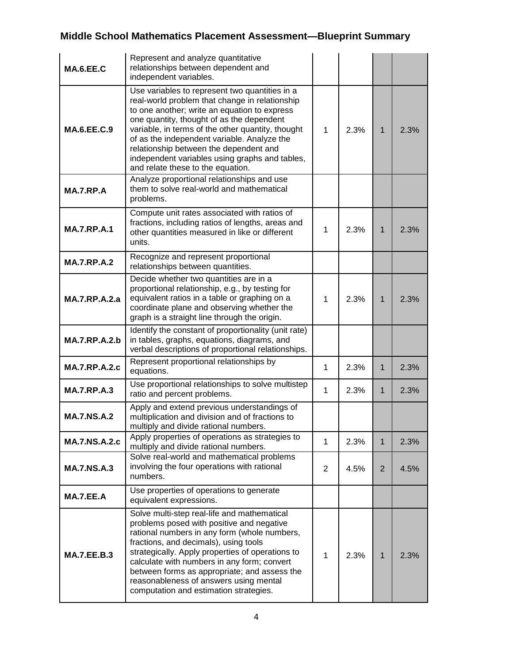| <b>MA.6.EE.C</b>     | Represent and analyze quantitative<br>relationships between dependent and<br>independent variables.                                                                                                                                                                                                                                                                                                                                |                |      |                |      |
|----------------------|------------------------------------------------------------------------------------------------------------------------------------------------------------------------------------------------------------------------------------------------------------------------------------------------------------------------------------------------------------------------------------------------------------------------------------|----------------|------|----------------|------|
| <b>MA.6.EE.C.9</b>   | Use variables to represent two quantities in a<br>real-world problem that change in relationship<br>to one another; write an equation to express<br>one quantity, thought of as the dependent<br>variable, in terms of the other quantity, thought<br>of as the independent variable. Analyze the<br>relationship between the dependent and<br>independent variables using graphs and tables,<br>and relate these to the equation. | 1              | 2.3% | $\mathbf 1$    | 2.3% |
| MA.7.RP.A            | Analyze proportional relationships and use<br>them to solve real-world and mathematical<br>problems.                                                                                                                                                                                                                                                                                                                               |                |      |                |      |
| <b>MA.7.RP.A.1</b>   | Compute unit rates associated with ratios of<br>fractions, including ratios of lengths, areas and<br>other quantities measured in like or different<br>units.                                                                                                                                                                                                                                                                      | 1              | 2.3% | $\mathbf 1$    | 2.3% |
| <b>MA.7.RP.A.2</b>   | Recognize and represent proportional<br>relationships between quantities.                                                                                                                                                                                                                                                                                                                                                          |                |      |                |      |
| <b>MA.7.RP.A.2.a</b> | Decide whether two quantities are in a<br>proportional relationship, e.g., by testing for<br>equivalent ratios in a table or graphing on a<br>coordinate plane and observing whether the<br>graph is a straight line through the origin.                                                                                                                                                                                           | 1              | 2.3% | $\mathbf 1$    | 2.3% |
| <b>MA.7.RP.A.2.b</b> | Identify the constant of proportionality (unit rate)<br>in tables, graphs, equations, diagrams, and<br>verbal descriptions of proportional relationships.                                                                                                                                                                                                                                                                          |                |      |                |      |
| <b>MA.7.RP.A.2.c</b> | Represent proportional relationships by<br>equations.                                                                                                                                                                                                                                                                                                                                                                              | $\mathbf{1}$   | 2.3% | $\mathbf 1$    | 2.3% |
| <b>MA.7.RP.A.3</b>   | Use proportional relationships to solve multistep<br>ratio and percent problems.                                                                                                                                                                                                                                                                                                                                                   | 1              | 2.3% | $\mathbf{1}$   | 2.3% |
| <b>MA.7.NS.A.2</b>   | Apply and extend previous understandings of<br>multiplication and division and of fractions to<br>multiply and divide rational numbers.                                                                                                                                                                                                                                                                                            |                |      |                |      |
| <b>MA.7.NS.A.2.c</b> | Apply properties of operations as strategies to<br>multiply and divide rational numbers.                                                                                                                                                                                                                                                                                                                                           | 1              | 2.3% | $\mathbf{1}$   | 2.3% |
| <b>MA.7.NS.A.3</b>   | Solve real-world and mathematical problems<br>involving the four operations with rational<br>numbers.                                                                                                                                                                                                                                                                                                                              | $\overline{2}$ | 4.5% | $\overline{2}$ | 4.5% |
| MA.7.EE.A            | Use properties of operations to generate<br>equivalent expressions.                                                                                                                                                                                                                                                                                                                                                                |                |      |                |      |
| <b>MA.7.EE.B.3</b>   | Solve multi-step real-life and mathematical<br>problems posed with positive and negative<br>rational numbers in any form (whole numbers,<br>fractions, and decimals), using tools<br>strategically. Apply properties of operations to<br>calculate with numbers in any form; convert<br>between forms as appropriate; and assess the<br>reasonableness of answers using mental<br>computation and estimation strategies.           | 1              | 2.3% | $\mathbf{1}$   | 2.3% |